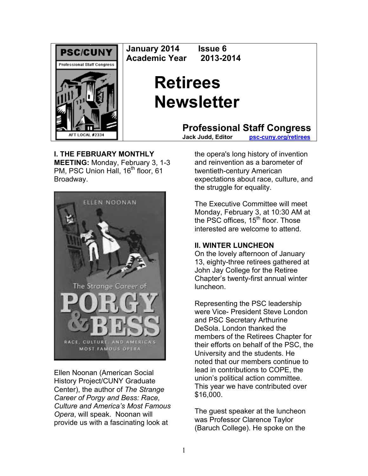

**January 2014 Issue 6 Academic Year 2013-2014** 

# **Retirees Newsletter**

**Professional Staff Congress**<br>Jack Judd. Editor psc-cuny.org/retirees

**psc-cuny.org/retirees** 

## **I. THE FEBRUARY MONTHLY**

**MEETING:** Monday, February 3, 1-3 PM, PSC Union Hall, 16<sup>th</sup> floor, 61 Broadway.



Ellen Noonan (American Social History Project/CUNY Graduate Center), the author of *The Strange Career of Porgy and Bess: Race, Culture and America's Most Famous Opera*, will speak. Noonan will provide us with a fascinating look at

the opera's long history of invention and reinvention as a barometer of twentieth-century American expectations about race, culture, and the struggle for equality.

The Executive Committee will meet Monday, February 3, at 10:30 AM at the PSC offices,  $15<sup>th</sup>$  floor. Those interested are welcome to attend.

# **II. WINTER LUNCHEON**

On the lovely afternoon of January 13, eighty-three retirees gathered at John Jay College for the Retiree Chapter's twenty-first annual winter luncheon.

Representing the PSC leadership were Vice- President Steve London and PSC Secretary Arthurine DeSola. London thanked the members of the Retirees Chapter for their efforts on behalf of the PSC, the University and the students. He noted that our members continue to lead in contributions to COPE, the union's political action committee. This year we have contributed over \$16,000.

The guest speaker at the luncheon was Professor Clarence Taylor (Baruch College). He spoke on the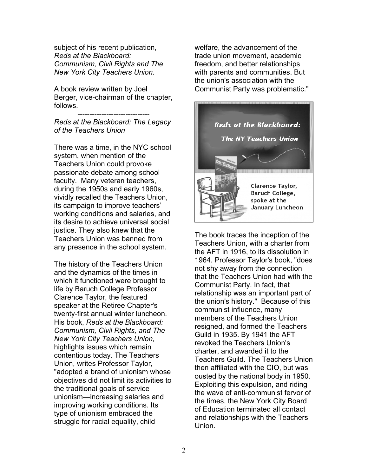subject of his recent publication, *Reds at the Blackboard: Communism, Civil Rights and The New York City Teachers Union.* 

A book review written by Joel Berger, vice-chairman of the chapter, follows.

------------------------------

*Reds at the Blackboard: The Legacy of the Teachers Union*

There was a time, in the NYC school system, when mention of the Teachers Union could provoke passionate debate among school faculty. Many veteran teachers, during the 1950s and early 1960s, vividly recalled the Teachers Union, its campaign to improve teachers' working conditions and salaries, and its desire to achieve universal social justice. They also knew that the Teachers Union was banned from any presence in the school system.

The history of the Teachers Union and the dynamics of the times in which it functioned were brought to life by Baruch College Professor Clarence Taylor, the featured speaker at the Retiree Chapter's twenty-first annual winter luncheon. His book, *Reds at the Blackboard: Communism, Civil Rights, and The New York City Teachers Union,*  highlights issues which remain contentious today. The Teachers Union, writes Professor Taylor, "adopted a brand of unionism whose objectives did not limit its activities to the traditional goals of service unionism—increasing salaries and improving working conditions. Its type of unionism embraced the struggle for racial equality, child

welfare, the advancement of the trade union movement, academic freedom, and better relationships with parents and communities. But the union's association with the Communist Party was problematic."



The book traces the inception of the Teachers Union, with a charter from the AFT in 1916, to its dissolution in 1964. Professor Taylor's book, "does not shy away from the connection that the Teachers Union had with the Communist Party. In fact, that relationship was an important part of the union's history." Because of this communist influence, many members of the Teachers Union resigned, and formed the Teachers Guild in 1935. By 1941 the AFT revoked the Teachers Union's charter, and awarded it to the Teachers Guild. The Teachers Union then affiliated with the CIO, but was ousted by the national body in 1950. Exploiting this expulsion, and riding the wave of anti-communist fervor of the times, the New York City Board of Education terminated all contact and relationships with the Teachers Union.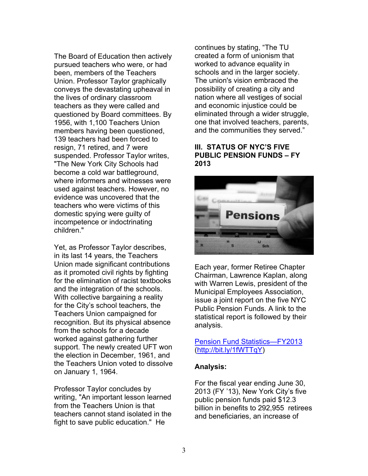The Board of Education then actively pursued teachers who were, or had been, members of the Teachers Union. Professor Taylor graphically conveys the devastating upheaval in the lives of ordinary classroom teachers as they were called and questioned by Board committees. By 1956, with 1,100 Teachers Union members having been questioned, 139 teachers had been forced to resign, 71 retired, and 7 were suspended. Professor Taylor writes, "The New York City Schools had become a cold war battleground, where informers and witnesses were used against teachers. However, no evidence was uncovered that the teachers who were victims of this domestic spying were guilty of incompetence or indoctrinating children."

Yet, as Professor Taylor describes, in its last 14 years, the Teachers Union made significant contributions as it promoted civil rights by fighting for the elimination of racist textbooks and the integration of the schools. With collective bargaining a reality for the City's school teachers, the Teachers Union campaigned for recognition. But its physical absence from the schools for a decade worked against gathering further support. The newly created UFT won the election in December, 1961, and the Teachers Union voted to dissolve on January 1, 1964.

Professor Taylor concludes by writing, "An important lesson learned from the Teachers Union is that teachers cannot stand isolated in the fight to save public education." He

continues by stating, "The TU created a form of unionism that worked to advance equality in schools and in the larger society. The union's vision embraced the possibility of creating a city and nation where all vestiges of social and economic injustice could be eliminated through a wider struggle, one that involved teachers, parents, and the communities they served."

#### **III. STATUS OF NYC'S FIVE PUBLIC PENSION FUNDS – FY 2013**



Each year, former Retiree Chapter Chairman, Lawrence Kaplan, along with Warren Lewis, president of the Municipal Employees Association, issue a joint report on the five NYC Public Pension Funds. A link to the statistical report is followed by their analysis.

## Pension Fund Statistics—FY2013 (http://bit.ly/1fWTTqY)

## **Analysis:**

For the fiscal year ending June 30, 2013 (FY '13), New York City's five public pension funds paid \$12.3 billion in benefits to 292,955 retirees and beneficiaries, an increase of